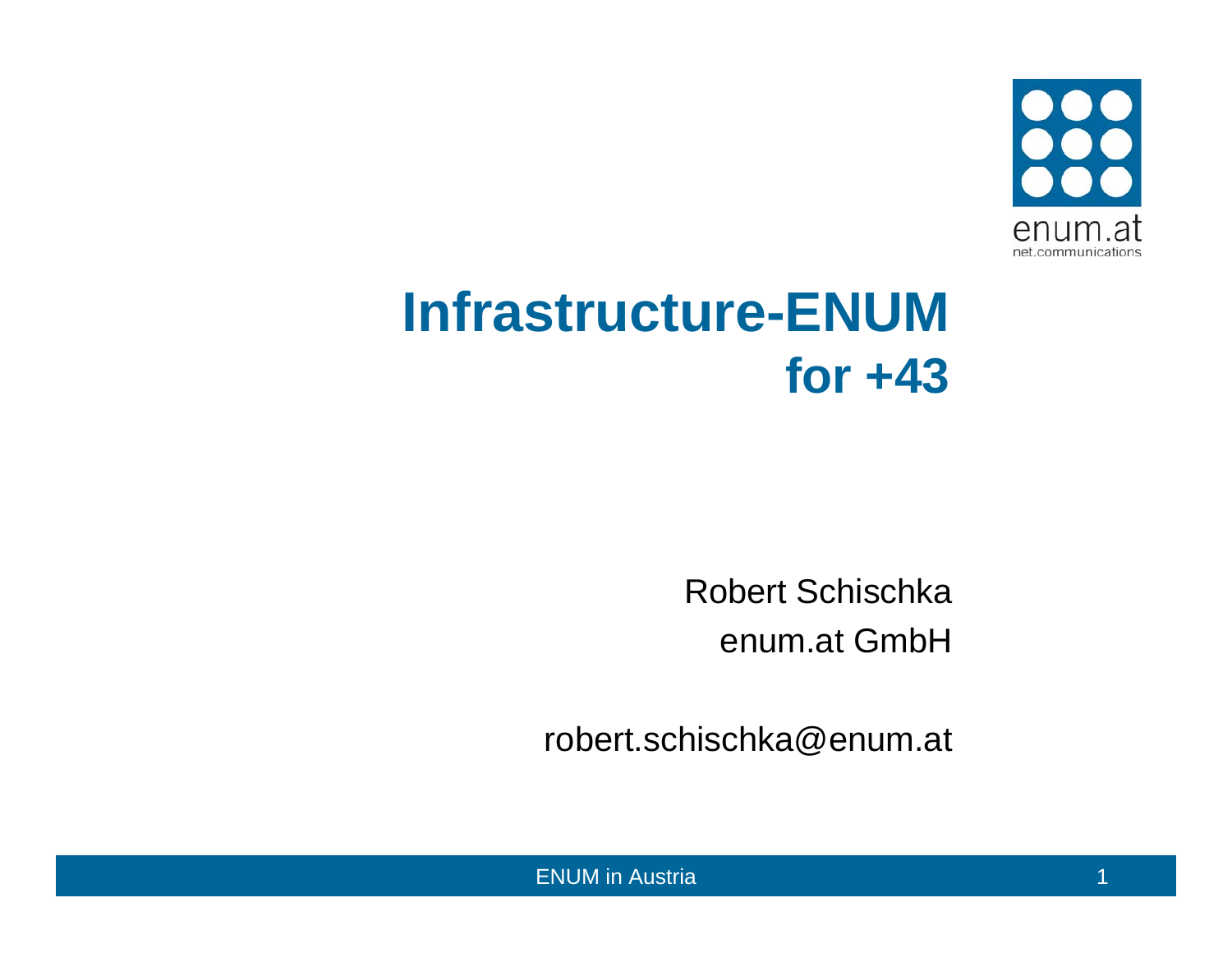

# **Infrastructure-ENUMfor +43**

Robert Schischkaenum.at GmbH

robert.schischka@enum.at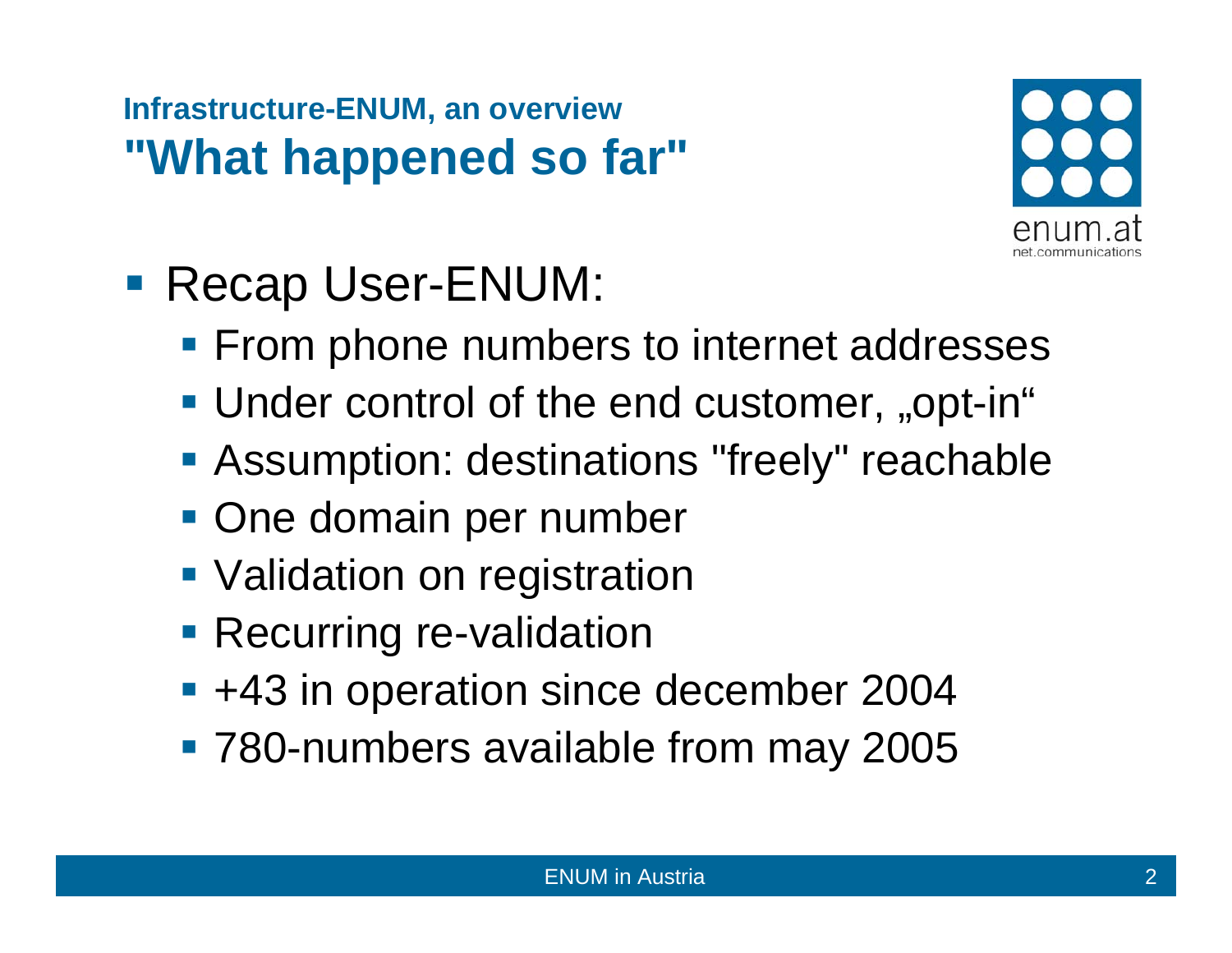#### **Infrastructure-ENUM, an overview "What happened so far"**



# **Recap User-ENUM:**

- **From phone numbers to internet addresses**
- Under control of the end customer, "opt-in"
- **Assumption: destinations "freely" reachable**
- **One domain per number**
- **Validation on registration**
- **Recurring re-validation**
- +43 in operation since december 2004
- **780-numbers available from may 2005**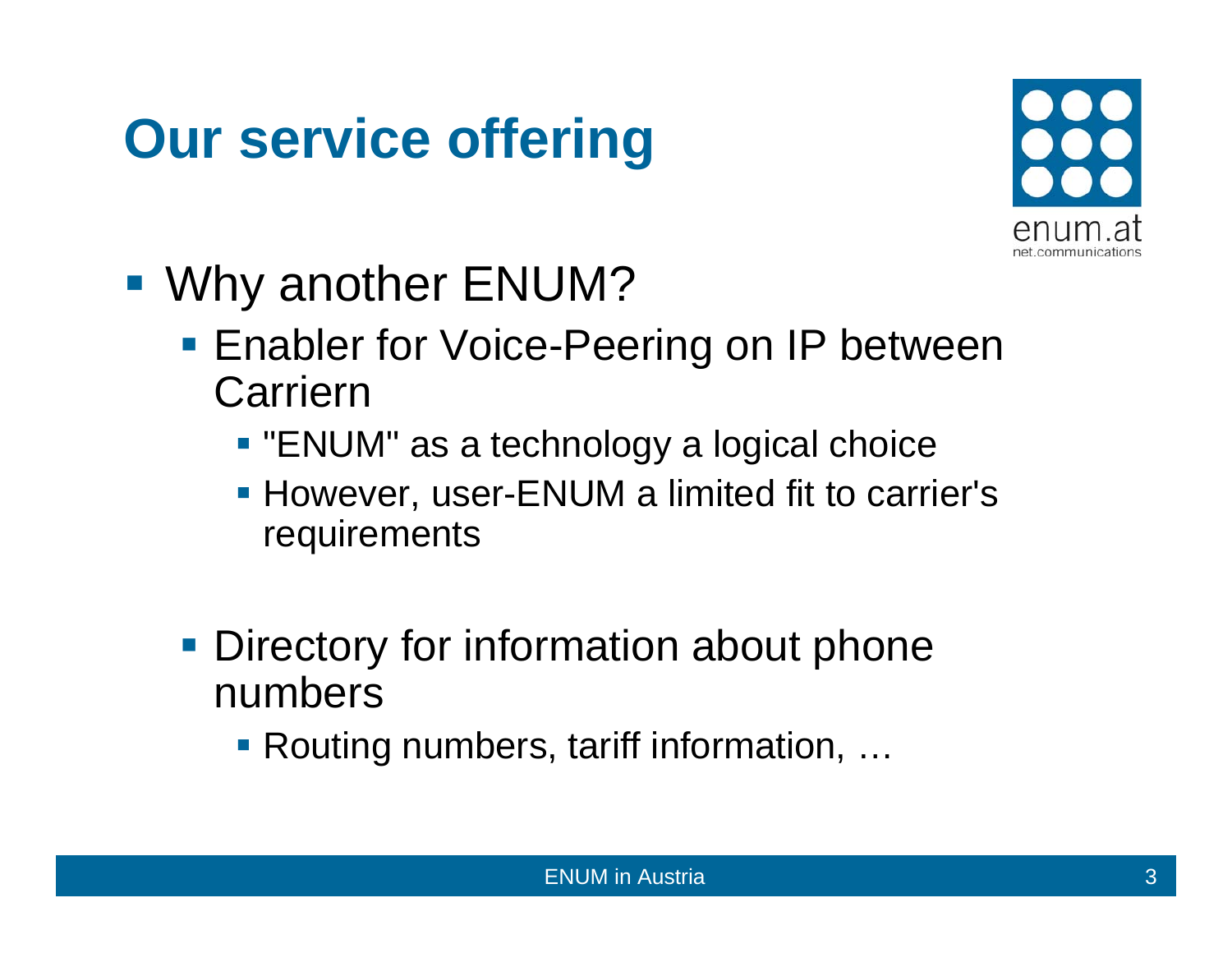# **Our service offering**



- Why another ENUM?
	- **Enabler for Voice-Peering on IP between** Carriern
		- **"ENUM" as a technology a logical choice**
		- However, user-ENUM a limited fit to carrier's requirements
	- **Directory for information about phone** numbers
		- Routing numbers, tariff information, …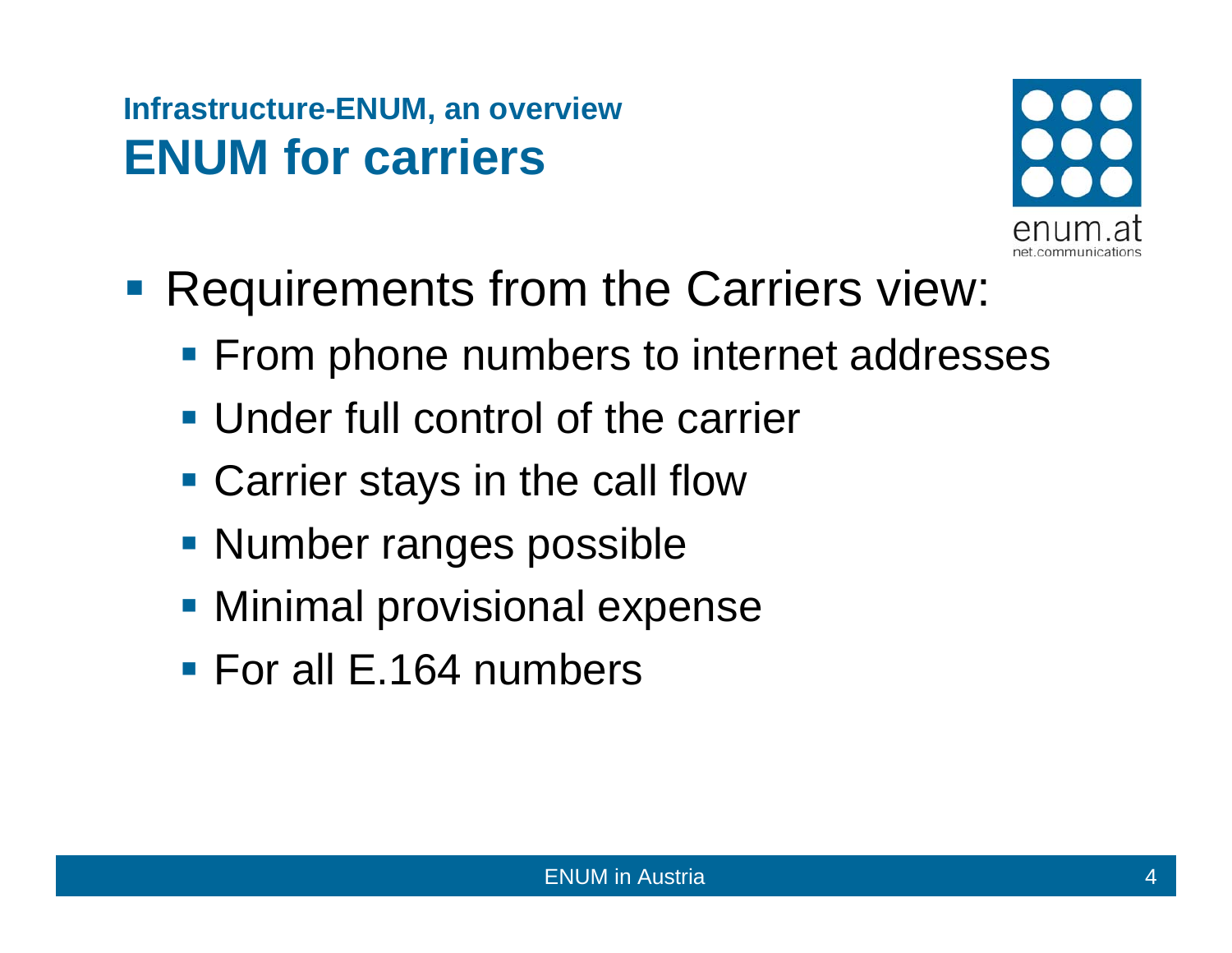#### **Infrastructure-ENUM, an overview ENUM for carriers**



- **Requirements from the Carriers view:** 
	- **From phone numbers to internet addresses**
	- Under full control of the carrier
	- **Carrier stays in the call flow**
	- **Number ranges possible**
	- **Minimal provisional expense**
	- For all E.164 numbers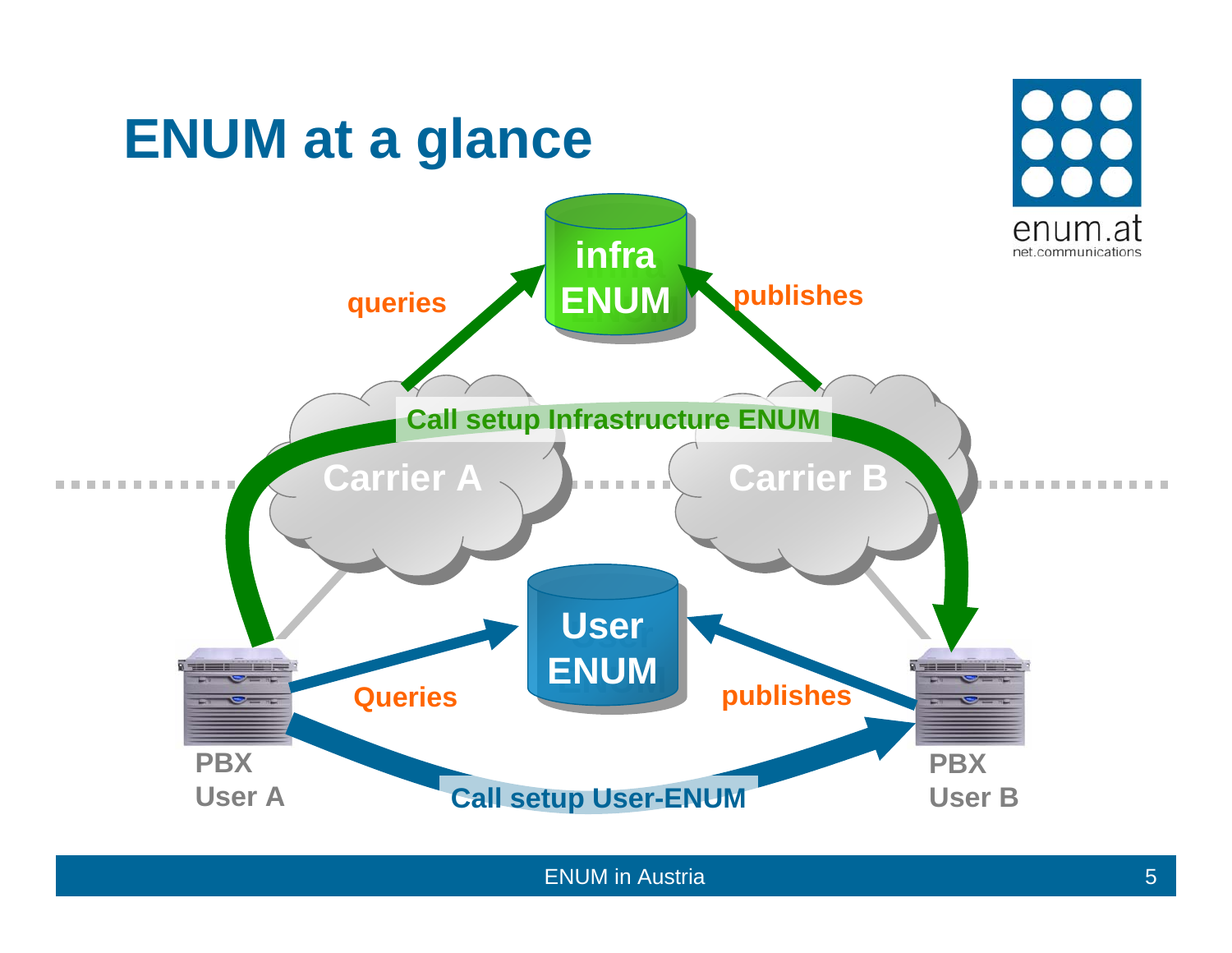

#### ENUM in Austria 5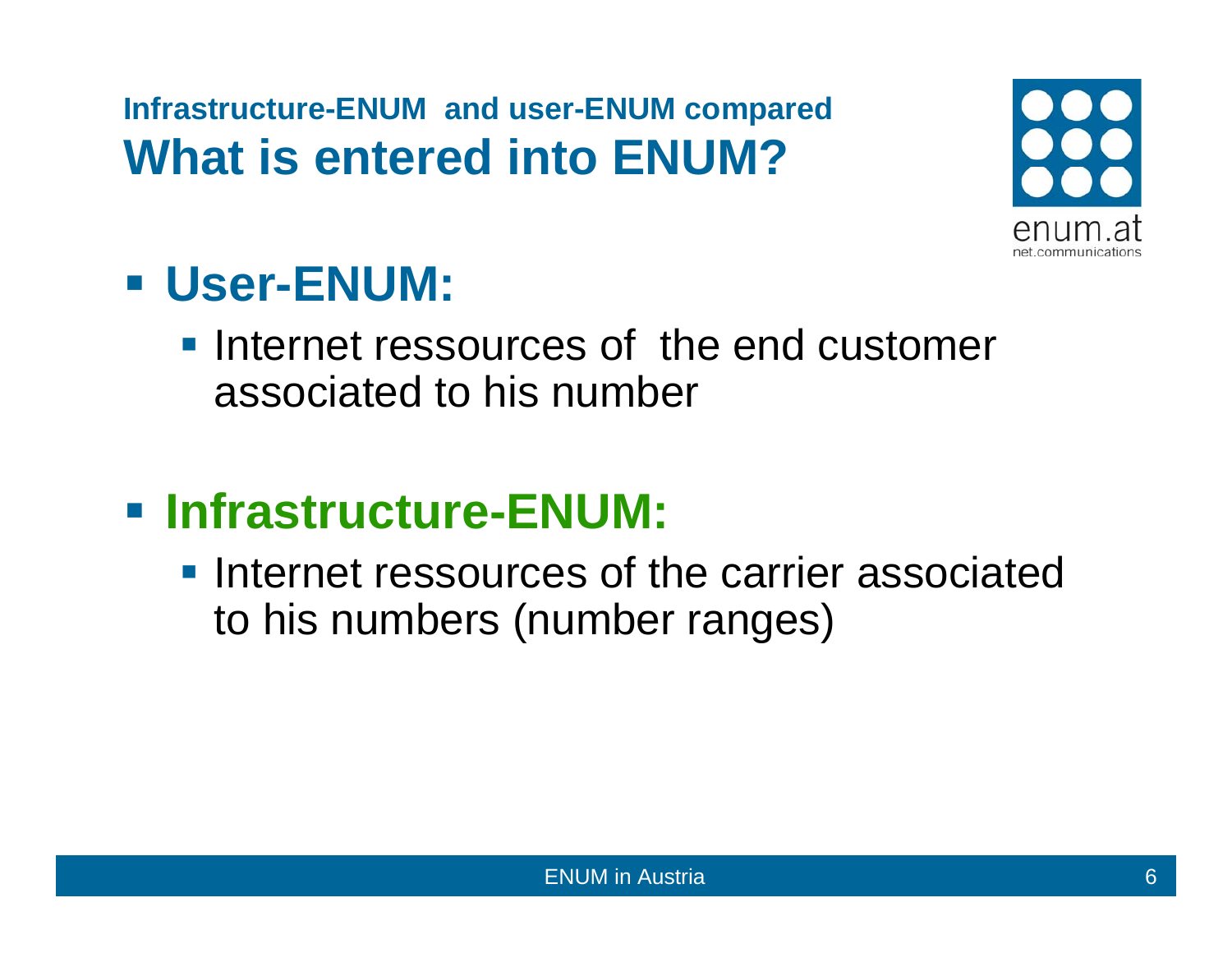**Infrastructure-ENUM and user-ENUM compared What is entered into ENUM?**



### **User-ENUM:**

**Internet ressources of the end customer** associated to his number

### **Infrastructure-ENUM:**

**Internet ressources of the carrier associated** to his numbers (number ranges)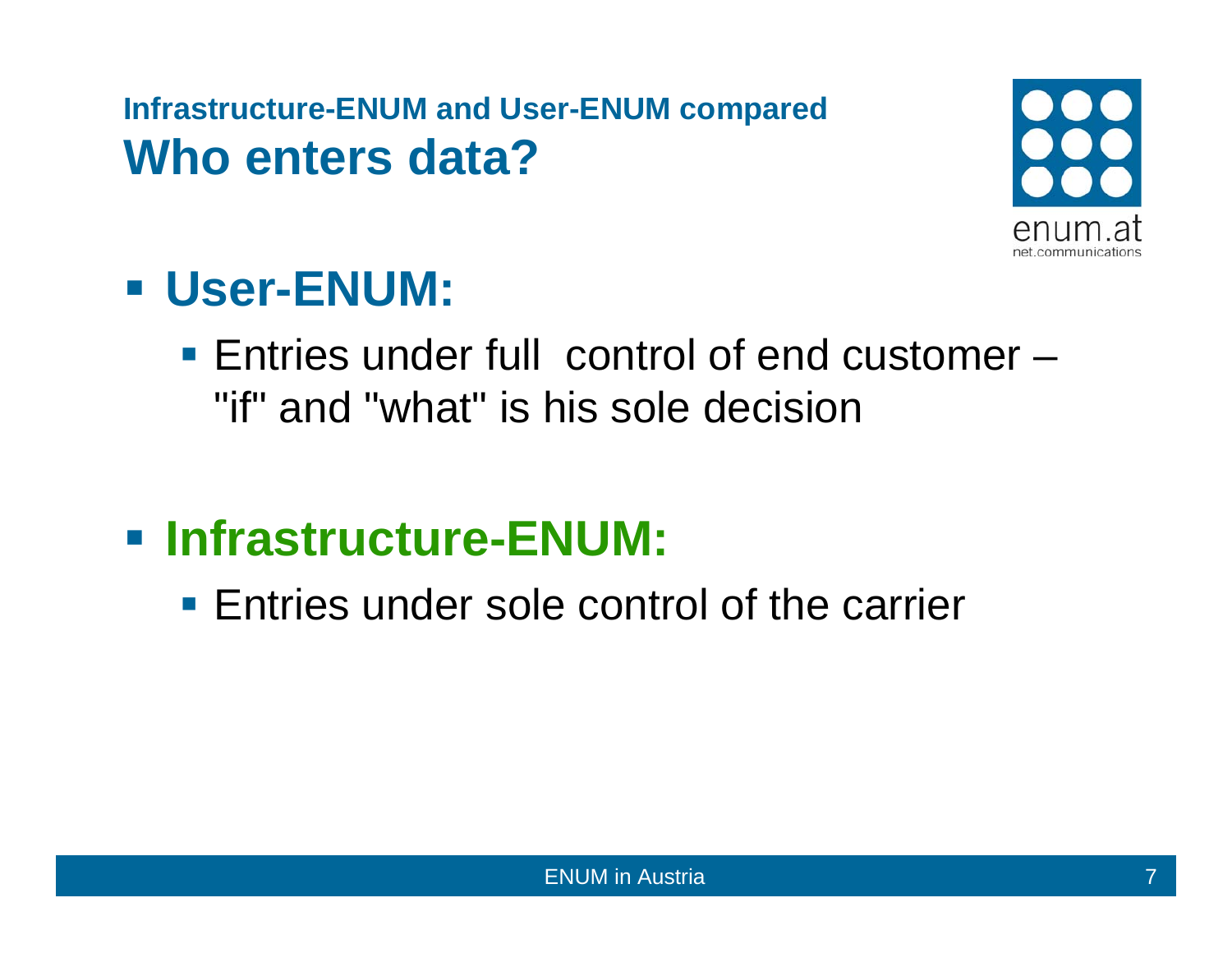**Infrastructure-ENUM and User-ENUM compared Who enters data?**



### **User-ENUM:**

 Entries under full control of end customer –"if" and "what" is his sole decision

### **Infrastructure-ENUM:**

**Entries under sole control of the carrier**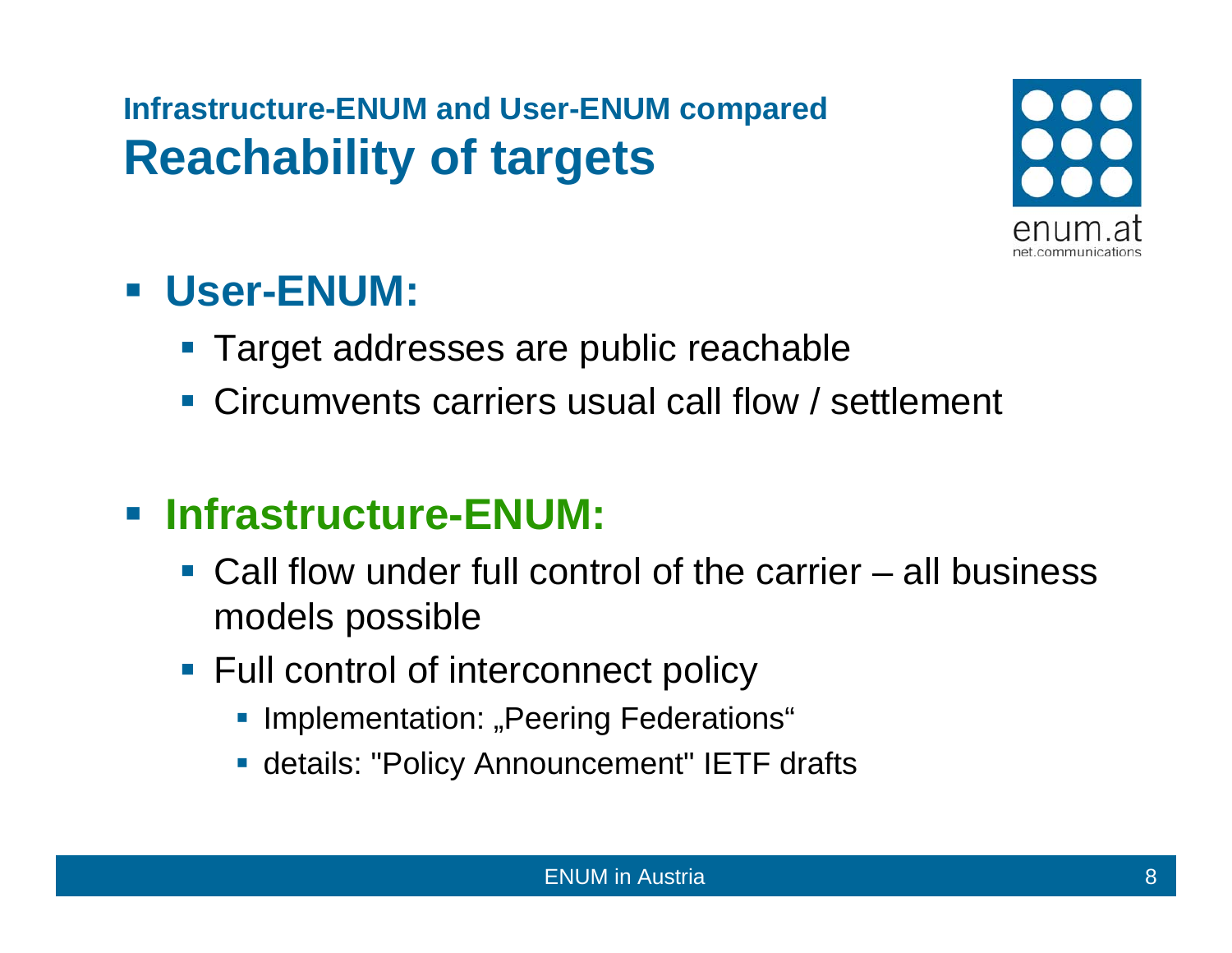**Infrastructure-ENUM and User-ENUM compared Reachability of targets**



#### **User-ENUM:**

- Target addresses are public reachable
- Circumvents carriers usual call flow / settlement

#### **Infrastructure-ENUM:**

- Call flow under full control of the carrier all businessmodels possible
- **Full control of interconnect policy** 
	- **Implementation: "Peering Federations"**
	- details: "Policy Announcement" IETF drafts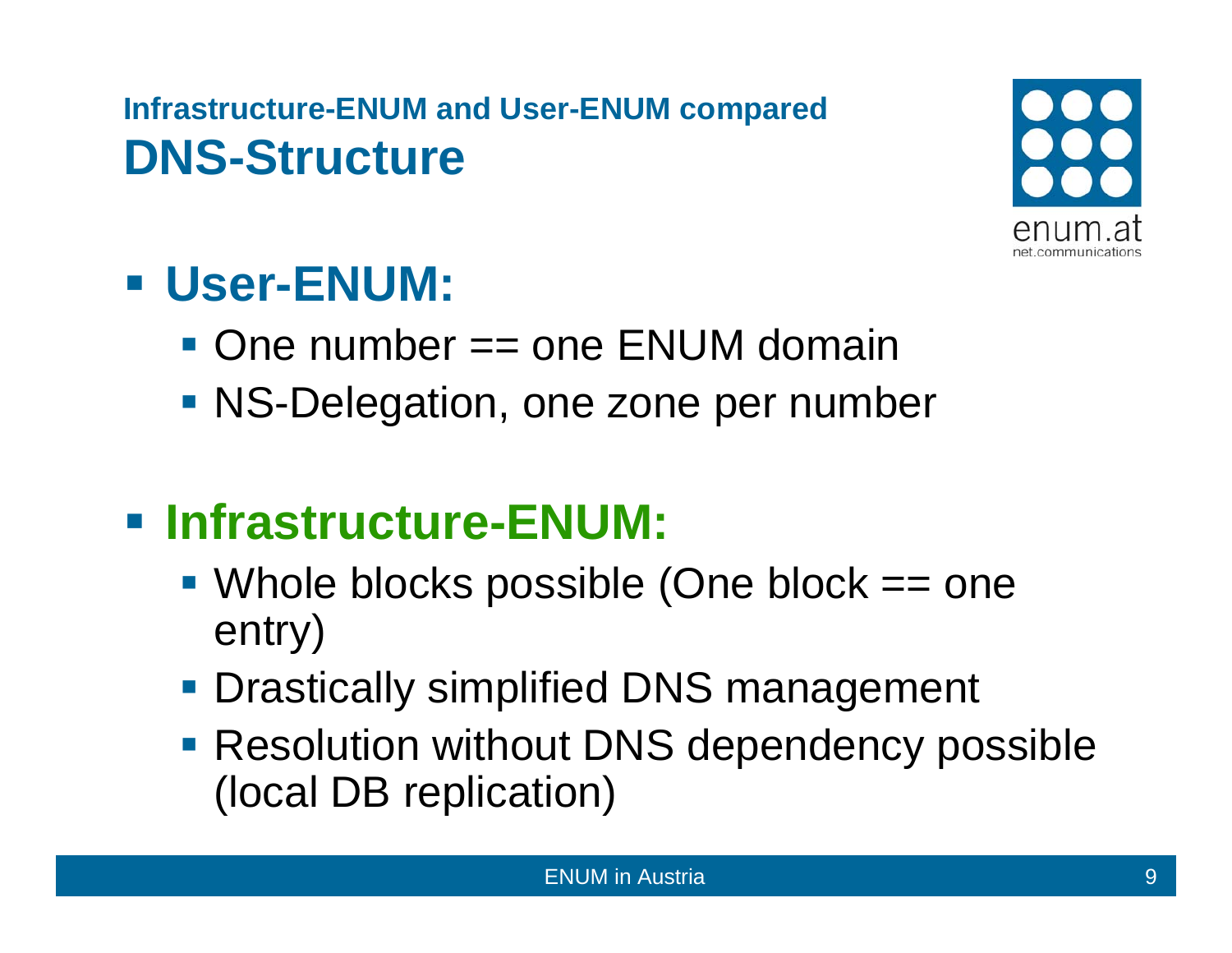### **Infrastructure-ENUM and User-ENUM compared DNS-Structure**



# **User-ENUM:**

- One number == one ENUM domain
- NS-Delegation, one zone per number

### **Infrastructure-ENUM:**

- Whole blocks possible (One block == one entry)
- **Drastically simplified DNS management**
- **Resolution without DNS dependency possible** (local DB replication)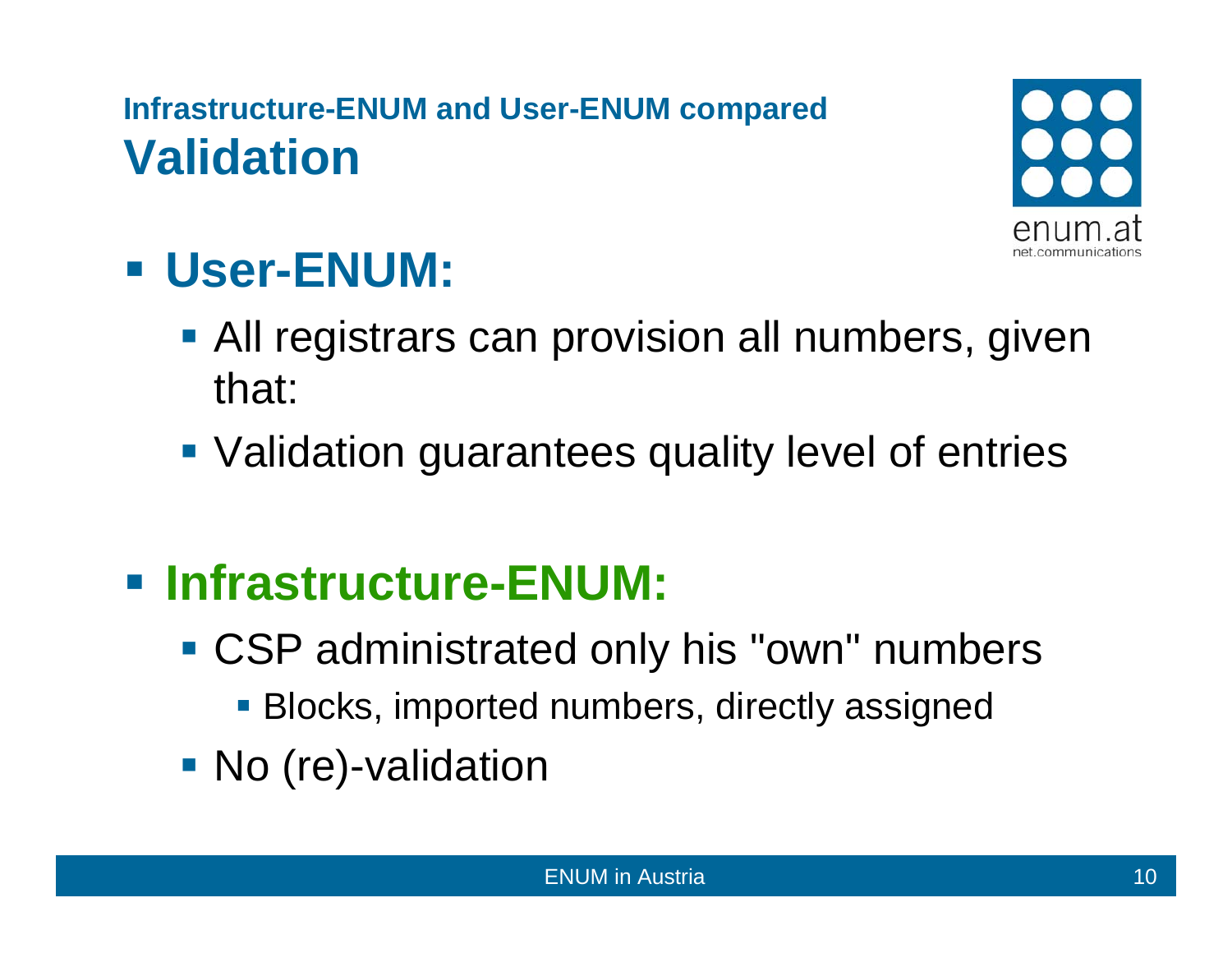### **Infrastructure-ENUM and User-ENUM compared Validation**



# **User-ENUM:**

- **All registrars can provision all numbers, given** that:
- **Validation guarantees quality level of entries**

### **Infrastructure-ENUM:**

- CSP administrated only his "own" numbers
	- **Blocks, imported numbers, directly assigned**
- **No (re)-validation**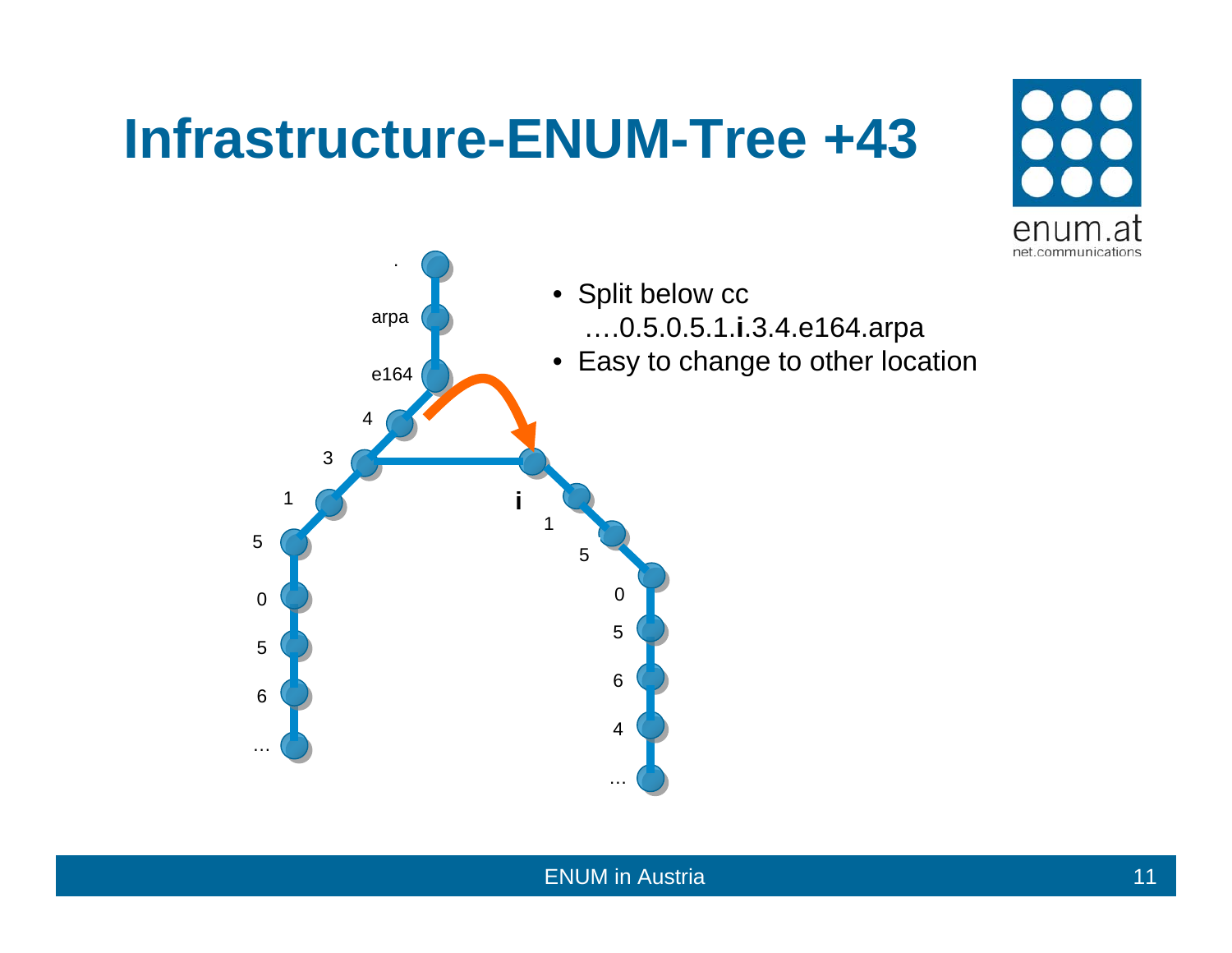# **Infrastructure-ENUM-Tree +43**